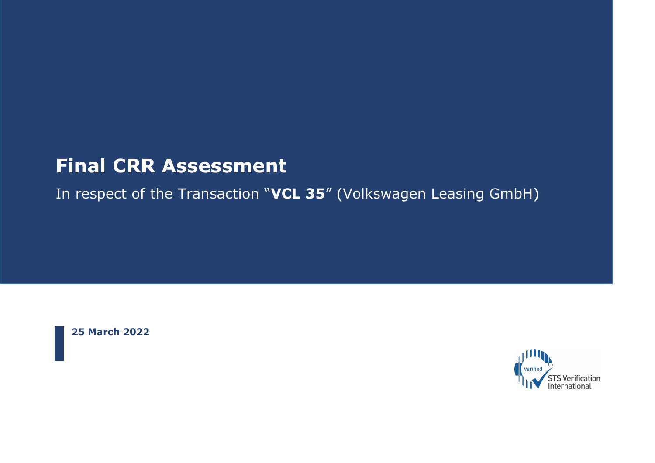# **Final CRR Assessment**

In respect of the Transaction "**VCL 35**" (Volkswagen Leasing GmbH)

**25 March 2022**

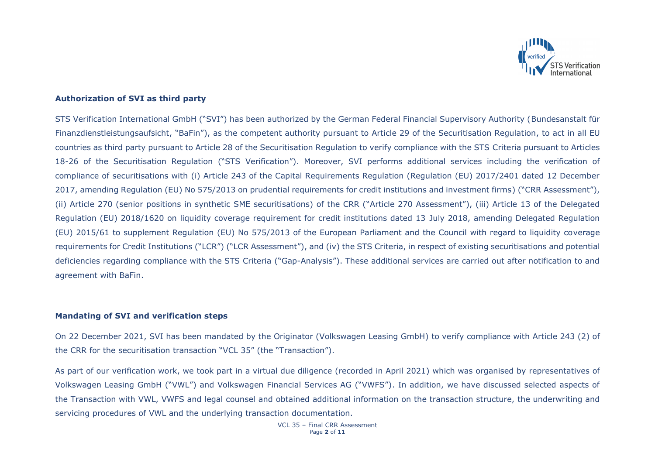

### **Authorization of SVI as third party**

STS Verification International GmbH ("SVI") has been authorized by the German Federal Financial Supervisory Authority (Bundesanstalt für Finanzdienstleistungsaufsicht, "BaFin"), as the competent authority pursuant to Article 29 of the Securitisation Regulation, to act in all EU countries as third party pursuant to Article 28 of the Securitisation Regulation to verify compliance with the STS Criteria pursuant to Articles 18-26 of the Securitisation Regulation ("STS Verification"). Moreover, SVI performs additional services including the verification of compliance of securitisations with (i) Article 243 of the Capital Requirements Regulation (Regulation (EU) 2017/2401 dated 12 December 2017, amending Regulation (EU) No 575/2013 on prudential requirements for credit institutions and investment firms) ("CRR Assessment"), (ii) Article 270 (senior positions in synthetic SME securitisations) of the CRR ("Article 270 Assessment"), (iii) Article 13 of the Delegated Regulation (EU) 2018/1620 on liquidity coverage requirement for credit institutions dated 13 July 2018, amending Delegated Regulation (EU) 2015/61 to supplement Regulation (EU) No 575/2013 of the European Parliament and the Council with regard to liquidity coverage requirements for Credit Institutions ("LCR") ("LCR Assessment"), and (iv) the STS Criteria, in respect of existing securitisations and potential deficiencies regarding compliance with the STS Criteria ("Gap-Analysis"). These additional services are carried out after notification to and agreement with BaFin.

#### **Mandating of SVI and verification steps**

On 22 December 2021, SVI has been mandated by the Originator (Volkswagen Leasing GmbH) to verify compliance with Article 243 (2) of the CRR for the securitisation transaction "VCL 35" (the "Transaction").

As part of our verification work, we took part in a virtual due diligence (recorded in April 2021) which was organised by representatives of Volkswagen Leasing GmbH ("VWL") and Volkswagen Financial Services AG ("VWFS"). In addition, we have discussed selected aspects of the Transaction with VWL, VWFS and legal counsel and obtained additional information on the transaction structure, the underwriting and servicing procedures of VWL and the underlying transaction documentation.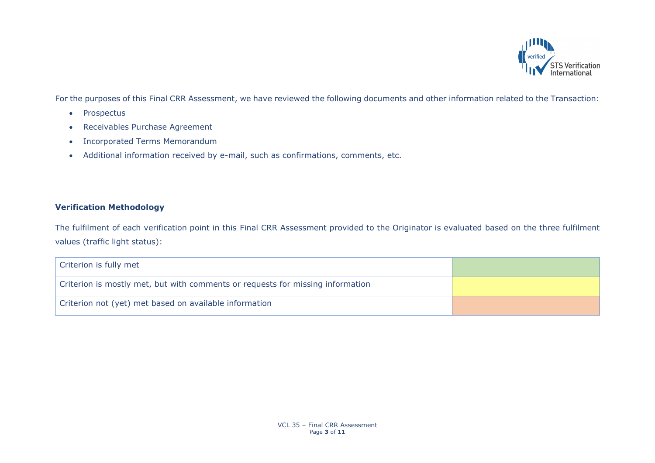

For the purposes of this Final CRR Assessment, we have reviewed the following documents and other information related to the Transaction:

- Prospectus
- Receivables Purchase Agreement
- Incorporated Terms Memorandum
- Additional information received by e-mail, such as confirmations, comments, etc.

## **Verification Methodology**

The fulfilment of each verification point in this Final CRR Assessment provided to the Originator is evaluated based on the three fulfilment values (traffic light status):

| Criterion is fully met                                                         |  |
|--------------------------------------------------------------------------------|--|
| Criterion is mostly met, but with comments or requests for missing information |  |
| Criterion not (yet) met based on available information                         |  |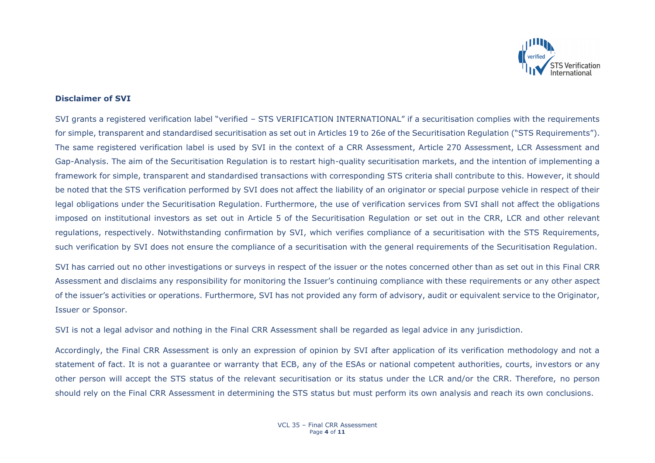

### **Disclaimer of SVI**

SVI grants a registered verification label "verified – STS VERIFICATION INTERNATIONAL" if a securitisation complies with the requirements for simple, transparent and standardised securitisation as set out in Articles 19 to 26e of the Securitisation Regulation ("STS Requirements"). The same registered verification label is used by SVI in the context of a CRR Assessment, Article 270 Assessment, LCR Assessment and Gap-Analysis. The aim of the Securitisation Regulation is to restart high-quality securitisation markets, and the intention of implementing a framework for simple, transparent and standardised transactions with corresponding STS criteria shall contribute to this. However, it should be noted that the STS verification performed by SVI does not affect the liability of an originator or special purpose vehicle in respect of their legal obligations under the Securitisation Regulation. Furthermore, the use of verification services from SVI shall not affect the obligations imposed on institutional investors as set out in Article 5 of the Securitisation Regulation or set out in the CRR, LCR and other relevant regulations, respectively. Notwithstanding confirmation by SVI, which verifies compliance of a securitisation with the STS Requirements, such verification by SVI does not ensure the compliance of a securitisation with the general requirements of the Securitisation Regulation.

SVI has carried out no other investigations or surveys in respect of the issuer or the notes concerned other than as set out in this Final CRR Assessment and disclaims any responsibility for monitoring the Issuer's continuing compliance with these requirements or any other aspect of the issuer's activities or operations. Furthermore, SVI has not provided any form of advisory, audit or equivalent service to the Originator, Issuer or Sponsor.

SVI is not a legal advisor and nothing in the Final CRR Assessment shall be regarded as legal advice in any jurisdiction.

Accordingly, the Final CRR Assessment is only an expression of opinion by SVI after application of its verification methodology and not a statement of fact. It is not a guarantee or warranty that ECB, any of the ESAs or national competent authorities, courts, investors or any other person will accept the STS status of the relevant securitisation or its status under the LCR and/or the CRR. Therefore, no person should rely on the Final CRR Assessment in determining the STS status but must perform its own analysis and reach its own conclusions.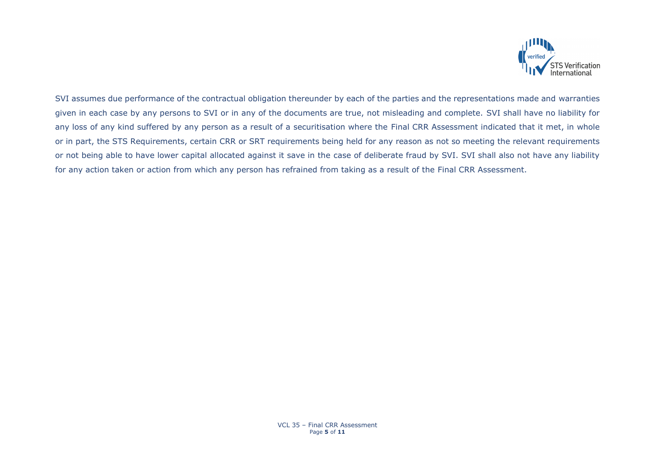

SVI assumes due performance of the contractual obligation thereunder by each of the parties and the representations made and warranties given in each case by any persons to SVI or in any of the documents are true, not misleading and complete. SVI shall have no liability for any loss of any kind suffered by any person as a result of a securitisation where the Final CRR Assessment indicated that it met, in whole or in part, the STS Requirements, certain CRR or SRT requirements being held for any reason as not so meeting the relevant requirements or not being able to have lower capital allocated against it save in the case of deliberate fraud by SVI. SVI shall also not have any liability for any action taken or action from which any person has refrained from taking as a result of the Final CRR Assessment.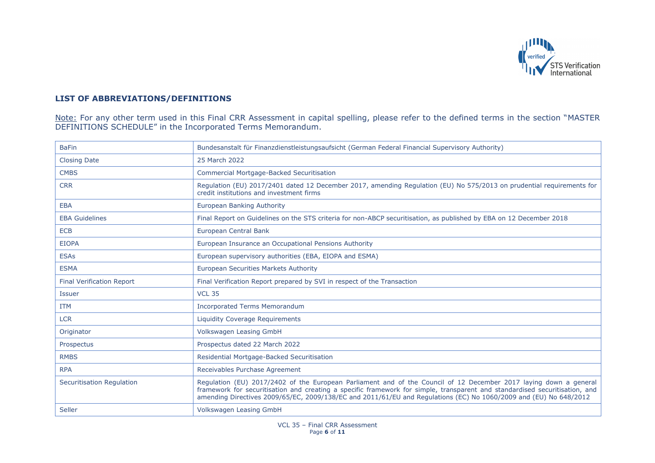

### **LIST OF ABBREVIATIONS/DEFINITIONS**

Note: For any other term used in this Final CRR Assessment in capital spelling, please refer to the defined terms in the section "MASTER DEFINITIONS SCHEDULE" in the Incorporated Terms Memorandum.

| <b>BaFin</b>                     | Bundesanstalt für Finanzdienstleistungsaufsicht (German Federal Financial Supervisory Authority)                                                                                                                                                                                                                                                                      |
|----------------------------------|-----------------------------------------------------------------------------------------------------------------------------------------------------------------------------------------------------------------------------------------------------------------------------------------------------------------------------------------------------------------------|
| <b>Closing Date</b>              | 25 March 2022                                                                                                                                                                                                                                                                                                                                                         |
| <b>CMBS</b>                      | Commercial Mortgage-Backed Securitisation                                                                                                                                                                                                                                                                                                                             |
| <b>CRR</b>                       | Regulation (EU) 2017/2401 dated 12 December 2017, amending Regulation (EU) No 575/2013 on prudential requirements for<br>credit institutions and investment firms                                                                                                                                                                                                     |
| <b>EBA</b>                       | <b>European Banking Authority</b>                                                                                                                                                                                                                                                                                                                                     |
| <b>EBA Guidelines</b>            | Final Report on Guidelines on the STS criteria for non-ABCP securitisation, as published by EBA on 12 December 2018                                                                                                                                                                                                                                                   |
| <b>ECB</b>                       | <b>European Central Bank</b>                                                                                                                                                                                                                                                                                                                                          |
| <b>EIOPA</b>                     | European Insurance an Occupational Pensions Authority                                                                                                                                                                                                                                                                                                                 |
| <b>ESAs</b>                      | European supervisory authorities (EBA, EIOPA and ESMA)                                                                                                                                                                                                                                                                                                                |
| <b>ESMA</b>                      | <b>European Securities Markets Authority</b>                                                                                                                                                                                                                                                                                                                          |
| <b>Final Verification Report</b> | Final Verification Report prepared by SVI in respect of the Transaction                                                                                                                                                                                                                                                                                               |
| <b>Issuer</b>                    | <b>VCL 35</b>                                                                                                                                                                                                                                                                                                                                                         |
| <b>ITM</b>                       | <b>Incorporated Terms Memorandum</b>                                                                                                                                                                                                                                                                                                                                  |
| <b>LCR</b>                       | <b>Liquidity Coverage Requirements</b>                                                                                                                                                                                                                                                                                                                                |
| Originator                       | Volkswagen Leasing GmbH                                                                                                                                                                                                                                                                                                                                               |
| Prospectus                       | Prospectus dated 22 March 2022                                                                                                                                                                                                                                                                                                                                        |
| <b>RMBS</b>                      | Residential Mortgage-Backed Securitisation                                                                                                                                                                                                                                                                                                                            |
| <b>RPA</b>                       | Receivables Purchase Agreement                                                                                                                                                                                                                                                                                                                                        |
| Securitisation Regulation        | Regulation (EU) 2017/2402 of the European Parliament and of the Council of 12 December 2017 laying down a general<br>framework for securitisation and creating a specific framework for simple, transparent and standardised securitisation, and<br>amending Directives 2009/65/EC, 2009/138/EC and 2011/61/EU and Regulations (EC) No 1060/2009 and (EU) No 648/2012 |
| Seller                           | Volkswagen Leasing GmbH                                                                                                                                                                                                                                                                                                                                               |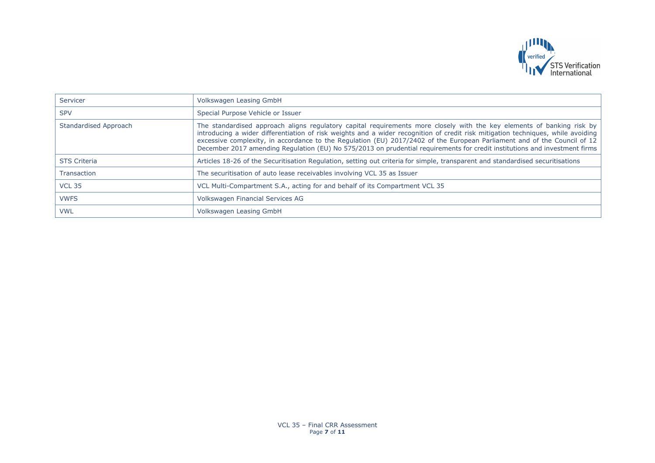

| Servicer              | Volkswagen Leasing GmbH                                                                                                                                                                                                                                                                                                                                                                                                                                                                                              |
|-----------------------|----------------------------------------------------------------------------------------------------------------------------------------------------------------------------------------------------------------------------------------------------------------------------------------------------------------------------------------------------------------------------------------------------------------------------------------------------------------------------------------------------------------------|
| <b>SPV</b>            | Special Purpose Vehicle or Issuer                                                                                                                                                                                                                                                                                                                                                                                                                                                                                    |
| Standardised Approach | The standardised approach aligns regulatory capital reguirements more closely with the key elements of banking risk by<br>introducing a wider differentiation of risk weights and a wider recognition of credit risk mitigation techniques, while avoiding<br>excessive complexity, in accordance to the Regulation (EU) 2017/2402 of the European Parliament and of the Council of 12<br>December 2017 amending Regulation (EU) No 575/2013 on prudential requirements for credit institutions and investment firms |
| <b>STS Criteria</b>   | Articles 18-26 of the Securitisation Regulation, setting out criteria for simple, transparent and standardised securitisations                                                                                                                                                                                                                                                                                                                                                                                       |
| <b>Transaction</b>    | The securitisation of auto lease receivables involving VCL 35 as Issuer                                                                                                                                                                                                                                                                                                                                                                                                                                              |
| <b>VCL 35</b>         | VCL Multi-Compartment S.A., acting for and behalf of its Compartment VCL 35                                                                                                                                                                                                                                                                                                                                                                                                                                          |
| <b>VWFS</b>           | Volkswagen Financial Services AG                                                                                                                                                                                                                                                                                                                                                                                                                                                                                     |
| <b>VWL</b>            | Volkswagen Leasing GmbH                                                                                                                                                                                                                                                                                                                                                                                                                                                                                              |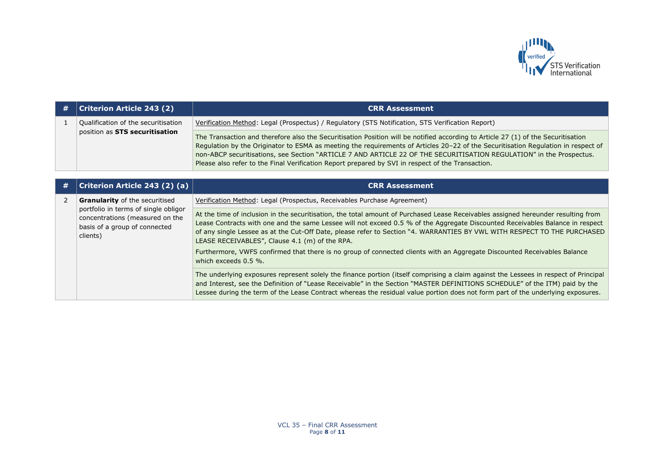

| $\#$ Criterion Article 243 (2)      | <b>CRR Assessment</b>                                                                                                                                                                                                                                                                                                                                                                                                                                                                               |
|-------------------------------------|-----------------------------------------------------------------------------------------------------------------------------------------------------------------------------------------------------------------------------------------------------------------------------------------------------------------------------------------------------------------------------------------------------------------------------------------------------------------------------------------------------|
| Qualification of the securitisation | Verification Method: Legal (Prospectus) / Regulatory (STS Notification, STS Verification Report)                                                                                                                                                                                                                                                                                                                                                                                                    |
| position as STS securitisation      | The Transaction and therefore also the Securitisation Position will be notified according to Article 27 (1) of the Securitisation<br>Regulation by the Originator to ESMA as meeting the requirements of Articles 20-22 of the Securitisation Regulation in respect of<br>non-ABCP securitisations, see Section "ARTICLE 7 AND ARTICLE 22 OF THE SECURITISATION REGULATION" in the Prospectus.<br>Please also refer to the Final Verification Report prepared by SVI in respect of the Transaction. |

| # | Criterion Article 243 (2) (a)                                                                                                                                 | <b>CRR Assessment</b>                                                                                                                                                                                                                                                                                                                                                                                                                            |
|---|---------------------------------------------------------------------------------------------------------------------------------------------------------------|--------------------------------------------------------------------------------------------------------------------------------------------------------------------------------------------------------------------------------------------------------------------------------------------------------------------------------------------------------------------------------------------------------------------------------------------------|
|   | <b>Granularity</b> of the securitised<br>portfolio in terms of single obligor<br>concentrations (measured on the<br>basis of a group of connected<br>clients) | Verification Method: Legal (Prospectus, Receivables Purchase Agreement)                                                                                                                                                                                                                                                                                                                                                                          |
|   |                                                                                                                                                               | At the time of inclusion in the securitisation, the total amount of Purchased Lease Receivables assigned hereunder resulting from<br>Lease Contracts with one and the same Lessee will not exceed 0.5 % of the Aggregate Discounted Receivables Balance in respect<br>of any single Lessee as at the Cut-Off Date, please refer to Section "4. WARRANTIES BY VWL WITH RESPECT TO THE PURCHASED<br>LEASE RECEIVABLES", Clause 4.1 (m) of the RPA. |
|   |                                                                                                                                                               | Furthermore, VWFS confirmed that there is no group of connected clients with an Aggregate Discounted Receivables Balance<br>which exceeds $0.5\%$ .                                                                                                                                                                                                                                                                                              |
|   |                                                                                                                                                               | The underlying exposures represent solely the finance portion (itself comprising a claim against the Lessees in respect of Principal<br>and Interest, see the Definition of "Lease Receivable" in the Section "MASTER DEFINITIONS SCHEDULE" of the ITM) paid by the<br>Lessee during the term of the Lease Contract whereas the residual value portion does not form part of the underlying exposures.                                           |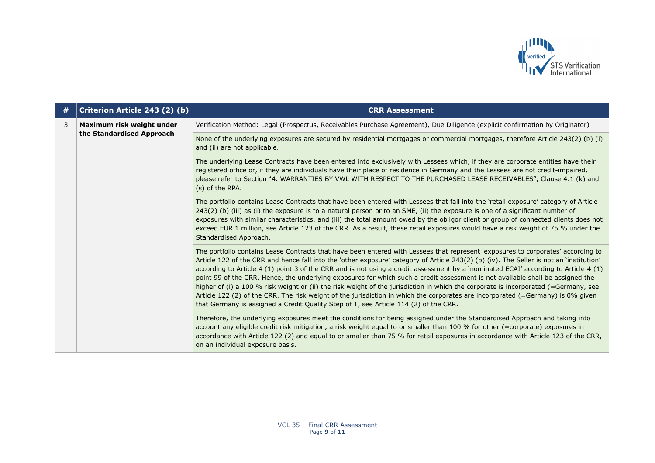

| # | Criterion Article 243 (2) (b)                          | <b>CRR Assessment</b>                                                                                                                                                                                                                                                                                                                                                                                                                                                                                                                                                                                                                                                                                                                                                                                                                                                                                                  |
|---|--------------------------------------------------------|------------------------------------------------------------------------------------------------------------------------------------------------------------------------------------------------------------------------------------------------------------------------------------------------------------------------------------------------------------------------------------------------------------------------------------------------------------------------------------------------------------------------------------------------------------------------------------------------------------------------------------------------------------------------------------------------------------------------------------------------------------------------------------------------------------------------------------------------------------------------------------------------------------------------|
| 3 | Maximum risk weight under<br>the Standardised Approach | Verification Method: Legal (Prospectus, Receivables Purchase Agreement), Due Diligence (explicit confirmation by Originator)                                                                                                                                                                                                                                                                                                                                                                                                                                                                                                                                                                                                                                                                                                                                                                                           |
|   |                                                        | None of the underlying exposures are secured by residential mortgages or commercial mortgages, therefore Article 243(2) (b) (i)<br>and (ii) are not applicable.                                                                                                                                                                                                                                                                                                                                                                                                                                                                                                                                                                                                                                                                                                                                                        |
|   |                                                        | The underlying Lease Contracts have been entered into exclusively with Lessees which, if they are corporate entities have their<br>registered office or, if they are individuals have their place of residence in Germany and the Lessees are not credit-impaired,<br>please refer to Section "4. WARRANTIES BY VWL WITH RESPECT TO THE PURCHASED LEASE RECEIVABLES", Clause 4.1 (k) and<br>$(s)$ of the RPA.                                                                                                                                                                                                                                                                                                                                                                                                                                                                                                          |
|   |                                                        | The portfolio contains Lease Contracts that have been entered with Lessees that fall into the 'retail exposure' category of Article<br>243(2) (b) (iii) as (i) the exposure is to a natural person or to an SME, (ii) the exposure is one of a significant number of<br>exposures with similar characteristics, and (iii) the total amount owed by the obligor client or group of connected clients does not<br>exceed EUR 1 million, see Article 123 of the CRR. As a result, these retail exposures would have a risk weight of 75 % under the<br>Standardised Approach.                                                                                                                                                                                                                                                                                                                                             |
|   |                                                        | The portfolio contains Lease Contracts that have been entered with Lessees that represent 'exposures to corporates' according to<br>Article 122 of the CRR and hence fall into the 'other exposure' category of Article 243(2) (b) (iv). The Seller is not an 'institution'<br>according to Article 4 (1) point 3 of the CRR and is not using a credit assessment by a 'nominated ECAI' according to Article 4 (1)<br>point 99 of the CRR. Hence, the underlying exposures for which such a credit assessment is not available shall be assigned the<br>higher of (i) a 100 % risk weight or (ii) the risk weight of the jurisdiction in which the corporate is incorporated (=Germany, see<br>Article 122 (2) of the CRR. The risk weight of the jurisdiction in which the corporates are incorporated (=Germany) is 0% given<br>that Germany is assigned a Credit Quality Step of 1, see Article 114 (2) of the CRR. |
|   |                                                        | Therefore, the underlying exposures meet the conditions for being assigned under the Standardised Approach and taking into<br>account any eligible credit risk mitigation, a risk weight equal to or smaller than 100 % for other (=corporate) exposures in<br>accordance with Article 122 (2) and equal to or smaller than 75 % for retail exposures in accordance with Article 123 of the CRR,<br>on an individual exposure basis.                                                                                                                                                                                                                                                                                                                                                                                                                                                                                   |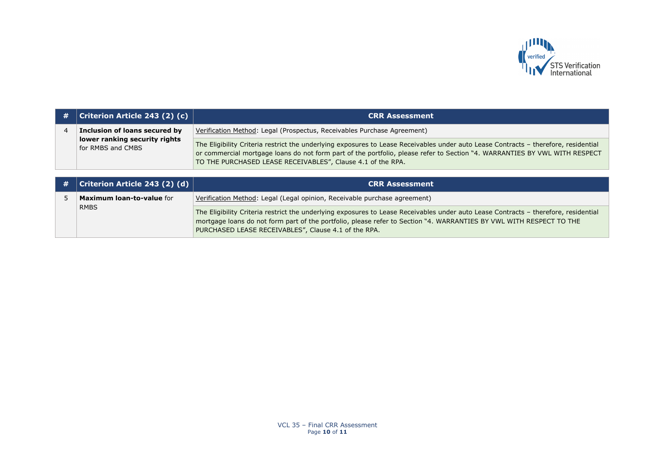

| # $ $ Criterion Article 243 (2) (c)                | <b>CRR Assessment</b>                                                                                                                                                                                                                                                                                                            |
|----------------------------------------------------|----------------------------------------------------------------------------------------------------------------------------------------------------------------------------------------------------------------------------------------------------------------------------------------------------------------------------------|
| Inclusion of loans secured by                      | Verification Method: Legal (Prospectus, Receivables Purchase Agreement)                                                                                                                                                                                                                                                          |
| lower ranking security rights<br>for RMBS and CMBS | The Eligibility Criteria restrict the underlying exposures to Lease Receivables under auto Lease Contracts - therefore, residential<br>or commercial mortgage loans do not form part of the portfolio, please refer to Section "4. WARRANTIES BY VWL WITH RESPECT<br>TO THE PURCHASED LEASE RECEIVABLES", Clause 4.1 of the RPA. |

| # | $ $ Criterion Article 243 (2) (d) | <b>CRR Assessment</b>                                                                                                                                                                                                                                                                                              |
|---|-----------------------------------|--------------------------------------------------------------------------------------------------------------------------------------------------------------------------------------------------------------------------------------------------------------------------------------------------------------------|
|   | <b>Maximum loan-to-value for</b>  | Verification Method: Legal (Legal opinion, Receivable purchase agreement)                                                                                                                                                                                                                                          |
|   | <b>RMBS</b>                       | The Eligibility Criteria restrict the underlying exposures to Lease Receivables under auto Lease Contracts - therefore, residential<br>mortgage loans do not form part of the portfolio, please refer to Section "4. WARRANTIES BY VWL WITH RESPECT TO THE<br>PURCHASED LEASE RECEIVABLES", Clause 4.1 of the RPA. |